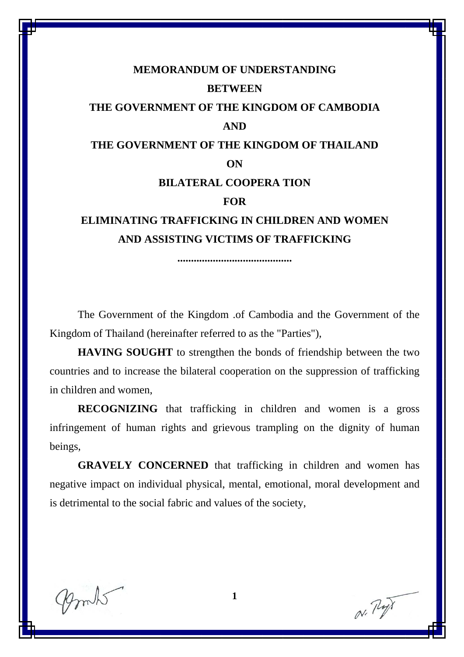# **MEMORANDUM OF UNDERSTANDING BETWEEN THE GOVERNMENT OF THE KINGDOM OF CAMBODIA AND THE GOVERNMENT OF THE KINGDOM OF THAILAND ON BILATERAL COOPERA TION FOR ELIMINATING TRAFFICKING IN CHILDREN AND WOMEN AND ASSISTING VICTIMS OF TRAFFICKING**

**..........................................** 

The Government of the Kingdom .of Cambodia and the Government of the Kingdom of Thailand (hereinafter referred to as the "Parties"),

**HAVING SOUGHT** to strengthen the bonds of friendship between the two countries and to increase the bilateral cooperation on the suppression of trafficking in children and women,

**RECOGNIZING** that trafficking in children and women is a gross infringement of human rights and grievous trampling on the dignity of human beings,

**GRAVELY CONCERNED** that trafficking in children and women has negative impact on individual physical, mental, emotional, moral development and is detrimental to the social fabric and values of the society,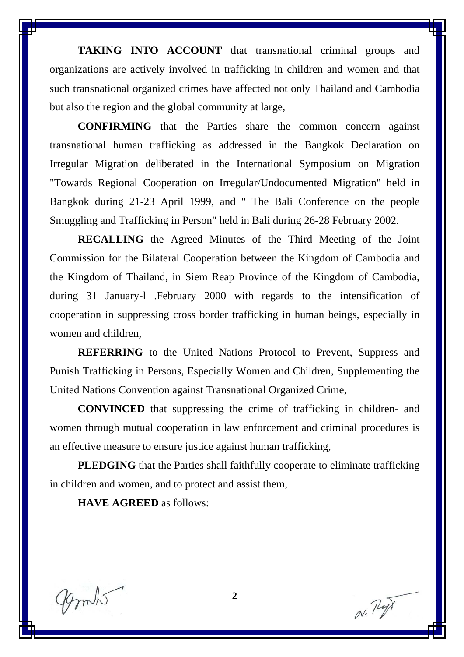**TAKING INTO ACCOUNT** that transnational criminal groups and organizations are actively involved in trafficking in children and women and that such transnational organized crimes have affected not only Thailand and Cambodia but also the region and the global community at large,

**CONFIRMING** that the Parties share the common concern against transnational human trafficking as addressed in the Bangkok Declaration on Irregular Migration deliberated in the International Symposium on Migration "Towards Regional Cooperation on Irregular/Undocumented Migration" held in Bangkok during 21-23 April 1999, and " The Bali Conference on the people Smuggling and Trafficking in Person" held in Bali during 26-28 February 2002.

**RECALLING** the Agreed Minutes of the Third Meeting of the Joint Commission for the Bilateral Cooperation between the Kingdom of Cambodia and the Kingdom of Thailand, in Siem Reap Province of the Kingdom of Cambodia, during 31 January-l .February 2000 with regards to the intensification of cooperation in suppressing cross border trafficking in human beings, especially in women and children,

**REFERRING** to the United Nations Protocol to Prevent, Suppress and Punish Trafficking in Persons, Especially Women and Children, Supplementing the United Nations Convention against Transnational Organized Crime,

**CONVINCED** that suppressing the crime of trafficking in children- and women through mutual cooperation in law enforcement and criminal procedures is an effective measure to ensure justice against human trafficking,

**PLEDGING** that the Parties shall faithfully cooperate to eliminate trafficking in children and women, and to protect and assist them,

**HAVE AGREED** as follows:

mits

N. Py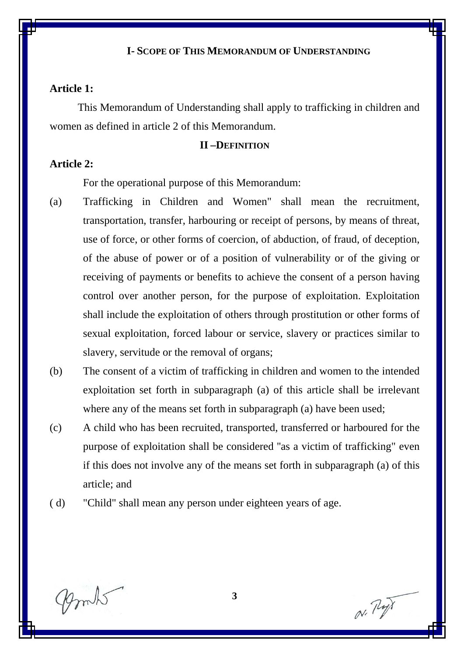#### **I- SCOPE OF THIS MEMORANDUM OF UNDERSTANDING**

#### **Article 1:**

This Memorandum of Understanding shall apply to trafficking in children and women as defined in article 2 of this Memorandum.

#### **II –DEFINITION**

# **Article 2:**

For the operational purpose of this Memorandum:

- (a) Trafficking in Children and Women" shall mean the recruitment, transportation, transfer, harbouring or receipt of persons, by means of threat, use of force, or other forms of coercion, of abduction, of fraud, of deception, of the abuse of power or of a position of vulnerability or of the giving or receiving of payments or benefits to achieve the consent of a person having control over another person, for the purpose of exploitation. Exploitation shall include the exploitation of others through prostitution or other forms of sexual exploitation, forced labour or service, slavery or practices similar to slavery, servitude or the removal of organs;
- (b) The consent of a victim of trafficking in children and women to the intended exploitation set forth in subparagraph (a) of this article shall be irrelevant where any of the means set forth in subparagraph (a) have been used;
- (c) A child who has been recruited, transported, transferred or harboured for the purpose of exploitation shall be considered ''as a victim of trafficking" even if this does not involve any of the means set forth in subparagraph (a) of this article; and
- ( d) "Child" shall mean any person under eighteen years of age.

N. Py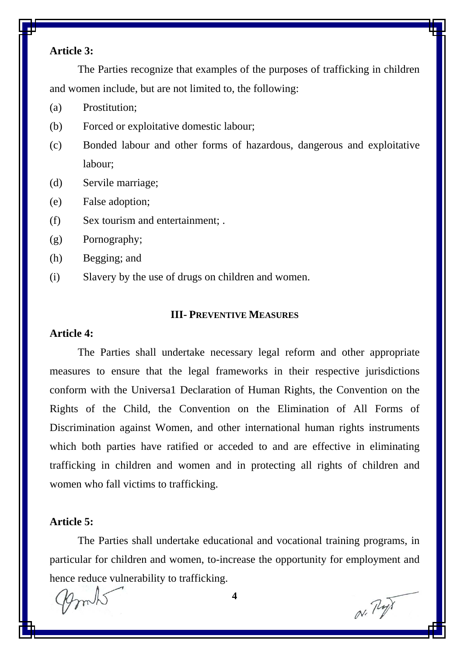# **Article 3:**

The Parties recognize that examples of the purposes of trafficking in children and women include, but are not limited to, the following:

- (a) Prostitution;
- (b) Forced or exploitative domestic labour;
- (c) Bonded labour and other forms of hazardous, dangerous and exploitative labour;
- (d) Servile marriage;
- (e) False adoption;
- (f) Sex tourism and entertainment; .
- (g) Pornography;
- (h) Begging; and
- (i) Slavery by the use of drugs on children and women.

#### **III- PREVENTIVE MEASURES**

#### **Article 4:**

The Parties shall undertake necessary legal reform and other appropriate measures to ensure that the legal frameworks in their respective jurisdictions conform with the Universa1 Declaration of Human Rights, the Convention on the Rights of the Child, the Convention on the Elimination of All Forms of Discrimination against Women, and other international human rights instruments which both parties have ratified or acceded to and are effective in eliminating trafficking in children and women and in protecting all rights of children and women who fall victims to trafficking.

#### **Article 5:**

The Parties shall undertake educational and vocational training programs, in particular for children and women, to-increase the opportunity for employment and hence reduce vulnerability to trafficking.

**4**

N. P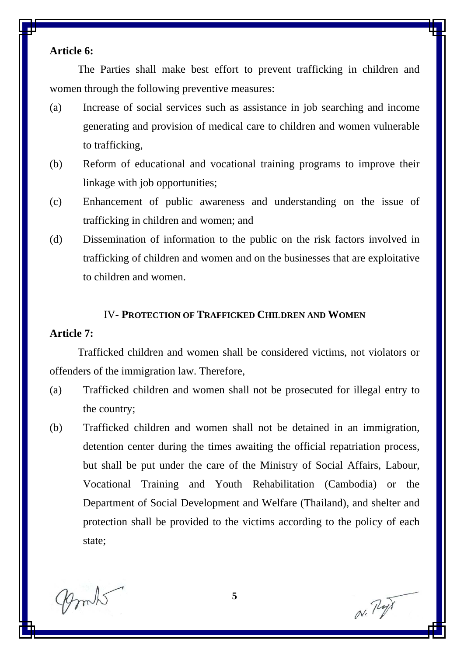# **Article 6:**

The Parties shall make best effort to prevent trafficking in children and women through the following preventive measures:

- (a) Increase of social services such as assistance in job searching and income generating and provision of medical care to children and women vulnerable to trafficking,
- (b) Reform of educational and vocational training programs to improve their linkage with job opportunities;
- (c) Enhancement of public awareness and understanding on the issue of trafficking in children and women; and
- (d) Dissemination of information to the public on the risk factors involved in trafficking of children and women and on the businesses that are exploitative to children and women.

#### IV- **PROTECTION OF TRAFFICKED CHILDREN AND WOMEN**

#### **Article 7:**

Trafficked children and women shall be considered victims, not violators or offenders of the immigration law. Therefore,

- (a) Trafficked children and women shall not be prosecuted for illegal entry to the country;
- (b) Trafficked children and women shall not be detained in an immigration, detention center during the times awaiting the official repatriation process, but shall be put under the care of the Ministry of Social Affairs, Labour, Vocational Training and Youth Rehabilitation (Cambodia) or the Department of Social Development and Welfare (Thailand), and shelter and protection shall be provided to the victims according to the policy of each state;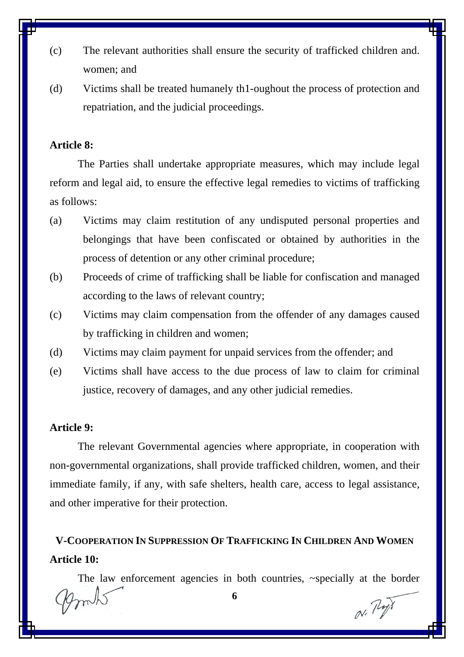- (c) The relevant authorities shall ensure the security of trafficked children and. women; and
- (d) Victims shall be treated humanely th1-oughout the process of protection and repatriation, and the judicial proceedings.

# **Article 8:**

The Parties shall undertake appropriate measures, which may include legal reform and legal aid, to ensure the effective legal remedies to victims of trafficking as follows:

- (a) Victims may claim restitution of any undisputed personal properties and belongings that have been confiscated or obtained by authorities in the process of detention or any other criminal procedure;
- (b) Proceeds of crime of trafficking shall be liable for confiscation and managed according to the laws of relevant country;
- (c) Victims may claim compensation from the offender of any damages caused by trafficking in children and women;
- (d) Victims may claim payment for unpaid services from the offender; and
- (e) Victims shall have access to the due process of law to claim for criminal justice, recovery of damages, and any other judicial remedies.

#### **Article 9:**

The relevant Governmental agencies where appropriate, in cooperation with non-governmental organizations, shall provide trafficked children, women, and their immediate family, if any, with safe shelters, health care, access to legal assistance, and other imperative for their protection.

# **V-COOPERATION IN SUPPRESSION OF TRAFFICKING IN CHILDREN AND WOMEN Article 10:**

The law enforcement agencies in both countries, ~specially at the border

 $N. P$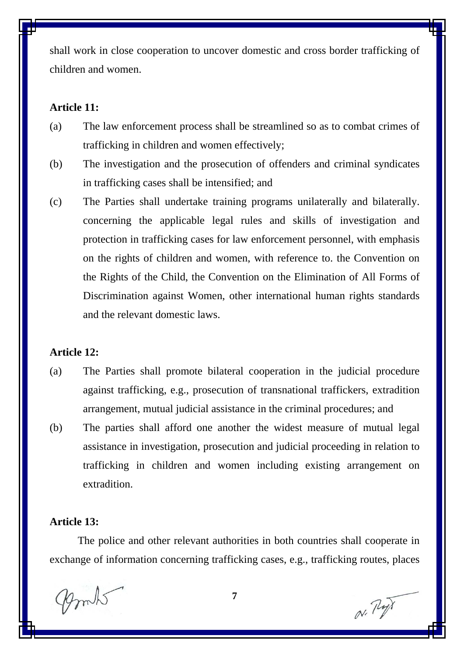shall work in close cooperation to uncover domestic and cross border trafficking of children and women.

# **Article 11:**

- (a) The law enforcement process shall be streamlined so as to combat crimes of trafficking in children and women effectively;
- (b) The investigation and the prosecution of offenders and criminal syndicates in trafficking cases shall be intensified; and
- (c) The Parties shall undertake training programs unilaterally and bilaterally. concerning the applicable legal rules and skills of investigation and protection in trafficking cases for law enforcement personnel, with emphasis on the rights of children and women, with reference to. the Convention on the Rights of the Child, the Convention on the Elimination of All Forms of Discrimination against Women, other international human rights standards and the relevant domestic laws.

#### **Article 12:**

- (a) The Parties shall promote bilateral cooperation in the judicial procedure against trafficking, e.g., prosecution of transnational traffickers, extradition arrangement, mutual judicial assistance in the criminal procedures; and
- (b) The parties shall afford one another the widest measure of mutual legal assistance in investigation, prosecution and judicial proceeding in relation to trafficking in children and women including existing arrangement on extradition.

#### **Article 13:**

The police and other relevant authorities in both countries shall cooperate in exchange of information concerning trafficking cases, e.g., trafficking routes, places

N. P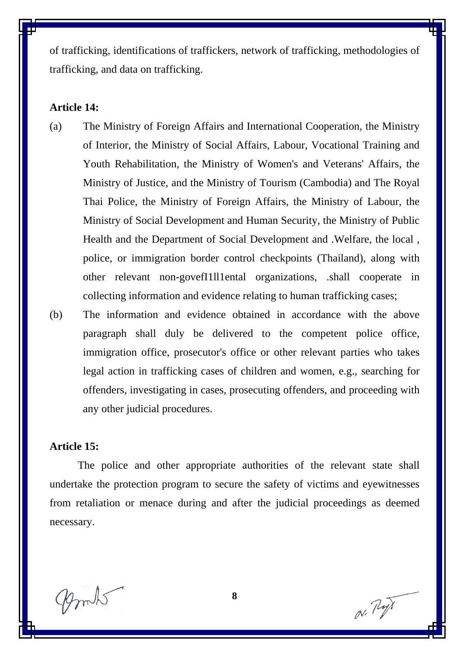of trafficking, identifications of traffickers, network of trafficking, methodologies of trafficking, and data on trafficking.

#### **Article 14:**

- (a) The Ministry of Foreign Affairs and International Cooperation, the Ministry of Interior, the Ministry of Social Affairs, Labour, Vocational Training and Youth Rehabilitation, the Ministry of Women's and Veterans' Affairs, the Ministry of Justice, and the Ministry of Tourism (Cambodia) and The Royal Thai Police, the Ministry of Foreign Affairs, the Ministry of Labour, the Ministry of Social Development and Human Security, the Ministry of Public Health and the Department of Social Development and .Welfare, the local , police, or immigration border control checkpoints (Thailand), along with other relevant non-govefI1ll1ental organizations, .shall cooperate in collecting information and evidence relating to human trafficking cases;
- (b) The information and evidence obtained in accordance with the above paragraph shall duly be delivered to the competent police office, immigration office, prosecutor's office or other relevant parties who takes legal action in trafficking cases of children and women, e.g., searching for offenders, investigating in cases, prosecuting offenders, and proceeding with any other judicial procedures.

#### **Article 15:**

The police and other appropriate authorities of the relevant state shall undertake the protection program to secure the safety of victims and eyewitnesses from retaliation or menace during and after the judicial proceedings as deemed necessary.

mits

N. Py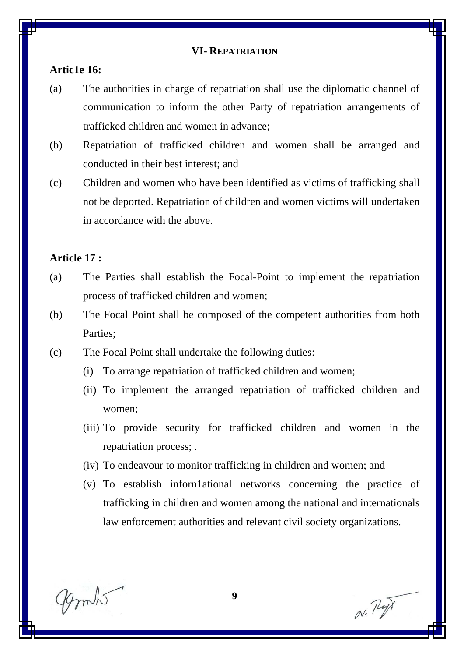#### **VI- REPATRIATION**

# **Artic1e 16:**

- (a) The authorities in charge of repatriation shall use the diplomatic channel of communication to inform the other Party of repatriation arrangements of trafficked children and women in advance;
- (b) Repatriation of trafficked children and women shall be arranged and conducted in their best interest; and
- (c) Children and women who have been identified as victims of trafficking shall not be deported. Repatriation of children and women victims will undertaken in accordance with the above.

#### **Article 17 :**

- (a) The Parties shall establish the Focal-Point to implement the repatriation process of trafficked children and women;
- (b) The Focal Point shall be composed of the competent authorities from both Parties;
- (c) The Focal Point shall undertake the following duties:
	- (i) To arrange repatriation of trafficked children and women;
	- (ii) To implement the arranged repatriation of trafficked children and women;
	- (iii) To provide security for trafficked children and women in the repatriation process; .
	- (iv) To endeavour to monitor trafficking in children and women; and
	- (v) To establish inforn1ational networks concerning the practice of trafficking in children and women among the national and internationals law enforcement authorities and relevant civil society organizations.

mits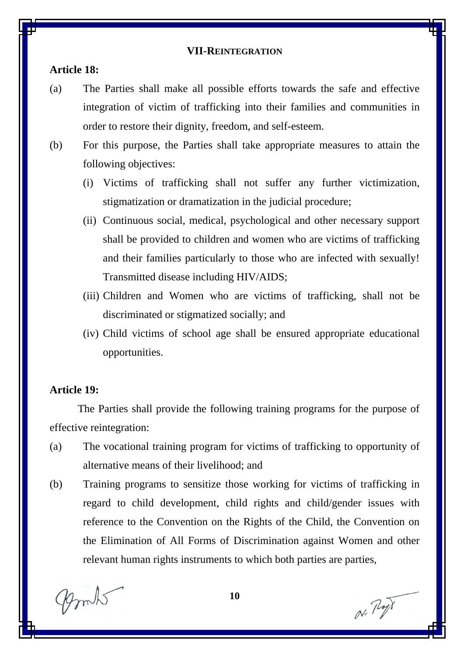#### **VII-REINTEGRATION**

#### **Article 18:**

- (a) The Parties shall make all possible efforts towards the safe and effective integration of victim of trafficking into their families and communities in order to restore their dignity, freedom, and self-esteem.
- (b) For this purpose, the Parties shall take appropriate measures to attain the following objectives:
	- (i) Victims of trafficking shall not suffer any further victimization, stigmatization or dramatization in the judicial procedure;
	- (ii) Continuous social, medical, psychological and other necessary support shall be provided to children and women who are victims of trafficking and their families particularly to those who are infected with sexually! Transmitted disease including HIV/AIDS;
	- (iii) Children and Women who are victims of trafficking, shall not be discriminated or stigmatized socially; and
	- (iv) Child victims of school age shall be ensured appropriate educational opportunities.

#### **Article 19:**

The Parties shall provide the following training programs for the purpose of effective reintegration:

- (a) The vocational training program for victims of trafficking to opportunity of alternative means of their livelihood; and
- (b) Training programs to sensitize those working for victims of trafficking in regard to child development, child rights and child/gender issues with reference to the Convention on the Rights of the Child, the Convention on the Elimination of All Forms of Discrimination against Women and other relevant human rights instruments to which both parties are parties,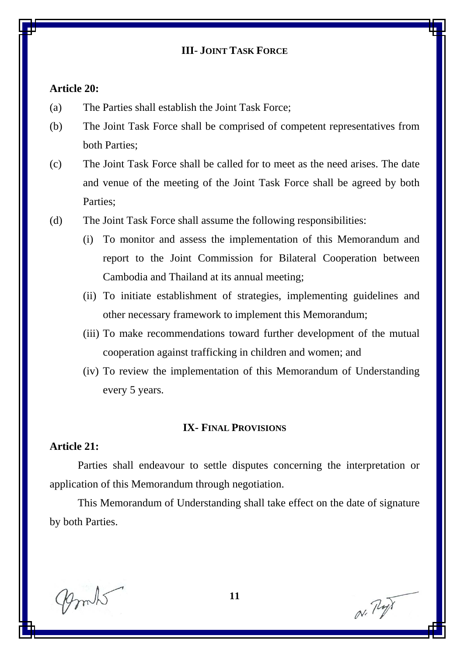# **III**- **JOINT TASK FORCE**

#### **Article 20:**

- (a) The Parties shall establish the Joint Task Force;
- (b) The Joint Task Force shall be comprised of competent representatives from both Parties;
- (c) The Joint Task Force shall be called for to meet as the need arises. The date and venue of the meeting of the Joint Task Force shall be agreed by both Parties;
- (d) The Joint Task Force shall assume the following responsibilities:
	- (i) To monitor and assess the implementation of this Memorandum and report to the Joint Commission for Bilateral Cooperation between Cambodia and Thailand at its annual meeting;
	- (ii) To initiate establishment of strategies, implementing guidelines and other necessary framework to implement this Memorandum;
	- (iii) To make recommendations toward further development of the mutual cooperation against trafficking in children and women; and
	- (iv) To review the implementation of this Memorandum of Understanding every 5 years.

#### **IX- FINAL PROVISIONS**

# **Article 21:**

Parties shall endeavour to settle disputes concerning the interpretation or application of this Memorandum through negotiation.

This Memorandum of Understanding shall take effect on the date of signature by both Parties.

mks